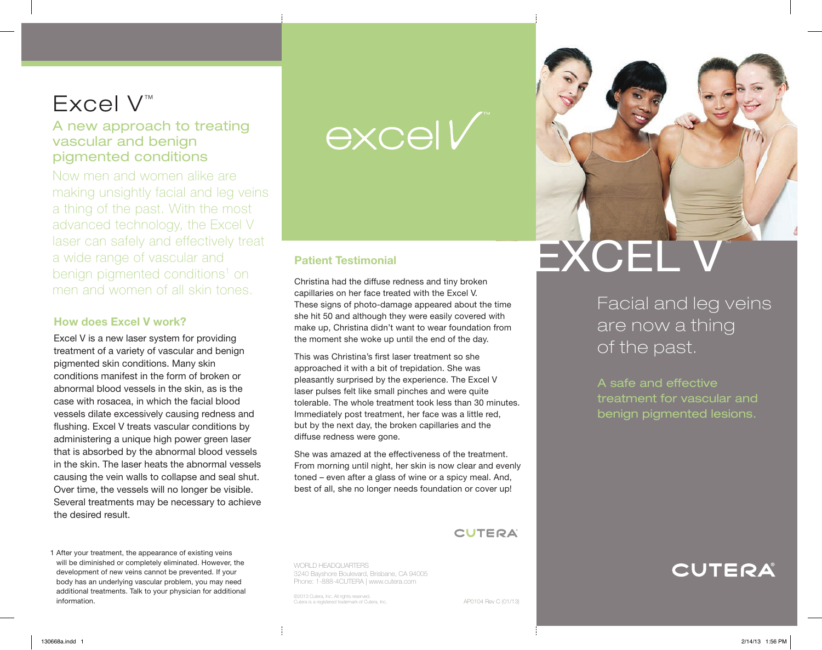# Excel V™

# A new approach to treating vascular and benign pigmented conditions

Now men and women alike are making unsightly facial and leg veins a thing of the past. With the most advanced technology, the Excel V laser can safely and effectively treat a wide range of vascular and benign pigmented conditions<sup>1</sup> on men and women of all skin tones.

# How does Excel V work?

Excel V is a new laser system for providing treatment of a variety of vascular and benign pigmented skin conditions. Many skin conditions manifest in the form of broken or abnormal blood vessels in the skin, as is the case with rosacea, in which the facial blood vessels dilate excessively causing redness and flushing. Excel V treats vascular conditions by administering a unique high power green laser that is absorbed by the abnormal blood vessels in the skin. The laser heats the abnormal vessels causing the vein walls to collapse and seal shut. Over time, the vessels will no longer be visible. Several treatments may be necessary to achieve the desired result.

excell

# Patient Testimonial

Christina had the diffuse redness and tiny broken capillaries on her face treated with the Excel V. These signs of photo-damage appeared about the time she hit 50 and although they were easily covered with make up, Christina didn't want to wear foundation from the moment she woke up until the end of the day.

This was Christina's first laser treatment so she approached it with a bit of trepidation. She was pleasantly surprised by the experience. The Excel V laser pulses felt like small pinches and were quite tolerable. The whole treatment took less than 30 minutes. Immediately post treatment, her face was a little red, but by the next day, the broken capillaries and the diffuse redness were gone.

She was amazed at the effectiveness of the treatment. From morning until night, her skin is now clear and evenly toned – even after a glass of wine or a spicy meal. And, best of all, she no longer needs foundation or cover up!

**CUTERA** 

WORLD HEADQUARTERS 3240 Bayshore Boulevard, Brisbane, CA 94005 Phone: 1-888-4CUTERA | www.cutera.com

©2013 Cutera, Inc. All rights reserved. Cutera is a registered trademark of Cutera, Inc.



EXCEL V

Facial and leg veins are now a thing of the past.

A safe and effective treatment for vascular and benign pigmented lesions.



1 After your treatment, the appearance of existing veins will be diminished or completely eliminated. However, the development of new veins cannot be prevented. If your body has an underlying vascular problem, you may need additional treatments. Talk to your physician for additional information.